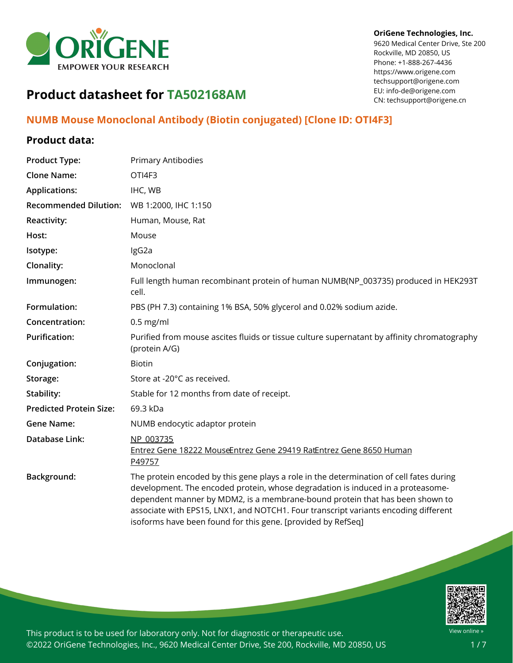

#### **OriGene Technologies, Inc.**

9620 Medical Center Drive, Ste 200 Rockville, MD 20850, US Phone: +1-888-267-4436 https://www.origene.com techsupport@origene.com EU: info-de@origene.com CN: techsupport@origene.cn

# **Product datasheet for TA502168AM**

## **NUMB Mouse Monoclonal Antibody (Biotin conjugated) [Clone ID: OTI4F3]**

### **Product data:**

| <b>Product Type:</b>           | Primary Antibodies                                                                                                                                                                                                                                                                                                                                                                                                |
|--------------------------------|-------------------------------------------------------------------------------------------------------------------------------------------------------------------------------------------------------------------------------------------------------------------------------------------------------------------------------------------------------------------------------------------------------------------|
| <b>Clone Name:</b>             | OTI4F3                                                                                                                                                                                                                                                                                                                                                                                                            |
| <b>Applications:</b>           | IHC, WB                                                                                                                                                                                                                                                                                                                                                                                                           |
| <b>Recommended Dilution:</b>   | WB 1:2000, IHC 1:150                                                                                                                                                                                                                                                                                                                                                                                              |
| <b>Reactivity:</b>             | Human, Mouse, Rat                                                                                                                                                                                                                                                                                                                                                                                                 |
| Host:                          | Mouse                                                                                                                                                                                                                                                                                                                                                                                                             |
| Isotype:                       | IgG2a                                                                                                                                                                                                                                                                                                                                                                                                             |
| Clonality:                     | Monoclonal                                                                                                                                                                                                                                                                                                                                                                                                        |
| Immunogen:                     | Full length human recombinant protein of human NUMB(NP_003735) produced in HEK293T<br>cell.                                                                                                                                                                                                                                                                                                                       |
| Formulation:                   | PBS (PH 7.3) containing 1% BSA, 50% glycerol and 0.02% sodium azide.                                                                                                                                                                                                                                                                                                                                              |
| Concentration:                 | $0.5$ mg/ml                                                                                                                                                                                                                                                                                                                                                                                                       |
| <b>Purification:</b>           | Purified from mouse ascites fluids or tissue culture supernatant by affinity chromatography<br>(protein A/G)                                                                                                                                                                                                                                                                                                      |
| Conjugation:                   | <b>Biotin</b>                                                                                                                                                                                                                                                                                                                                                                                                     |
| Storage:                       | Store at -20°C as received.                                                                                                                                                                                                                                                                                                                                                                                       |
| Stability:                     | Stable for 12 months from date of receipt.                                                                                                                                                                                                                                                                                                                                                                        |
| <b>Predicted Protein Size:</b> | 69.3 kDa                                                                                                                                                                                                                                                                                                                                                                                                          |
| <b>Gene Name:</b>              | NUMB endocytic adaptor protein                                                                                                                                                                                                                                                                                                                                                                                    |
| Database Link:                 | NP 003735<br>Entrez Gene 18222 MouseEntrez Gene 29419 RatEntrez Gene 8650 Human<br>P49757                                                                                                                                                                                                                                                                                                                         |
| Background:                    | The protein encoded by this gene plays a role in the determination of cell fates during<br>development. The encoded protein, whose degradation is induced in a proteasome-<br>dependent manner by MDM2, is a membrane-bound protein that has been shown to<br>associate with EPS15, LNX1, and NOTCH1. Four transcript variants encoding different<br>isoforms have been found for this gene. [provided by RefSeq] |

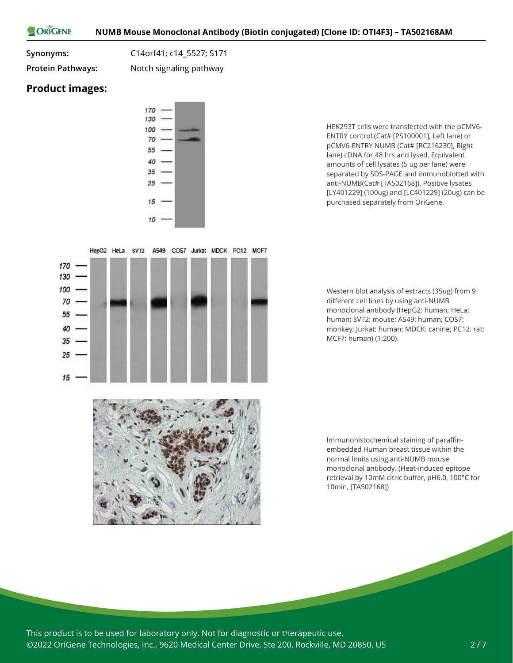ORIGENE

**Synonyms:** C14orf41; c14\_5527; S171

**Protein Pathways:** Notch signaling pathway

### **Product images:**

 $15$ 



HepG2 HeLa SVT2 A549 COS7 Jurkat MDCK PC12 MCF7

HEK293T cells were transfected with the pCMV6- ENTRY control (Cat# [PS100001], Left lane) or pCMV6-ENTRY NUMB (Cat# [RC216230], Right lane) cDNA for 48 hrs and lysed. Equivalent amounts of cell lysates (5 ug per lane) were separated by SDS-PAGE and immunoblotted with anti-NUMB(Cat# [TA502168]). Positive lysates [LY401229] (100ug) and [LC401229] (20ug) can be purchased separately from OriGene.

Western blot analysis of extracts (35ug) from 9 different cell lines by using anti-NUMB monoclonal antibody (HepG2: human; HeLa: human; SVT2: mouse; A549: human; COS7: monkey; Jurkat: human; MDCK: canine; PC12: rat; MCF7: human) (1:200).



Immunohistochemical staining of paraffinembedded Human breast tissue within the normal limits using anti-NUMB mouse monoclonal antibody. (Heat-induced epitope retrieval by 10mM citric buffer, pH6.0, 100°C for 10min, [TA502168])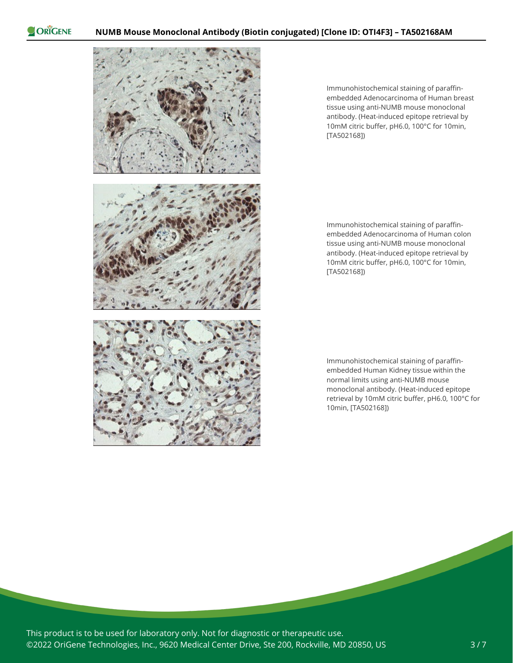

Immunohistochemical staining of paraffinembedded Adenocarcinoma of Human breast tissue using anti-NUMB mouse monoclonal antibody. (Heat-induced epitope retrieval by 10mM citric buffer, pH6.0, 100°C for 10min, [TA502168])

Immunohistochemical staining of paraffinembedded Adenocarcinoma of Human colon tissue using anti-NUMB mouse monoclonal antibody. (Heat-induced epitope retrieval by 10mM citric buffer, pH6.0, 100°C for 10min, [TA502168])

Immunohistochemical staining of paraffinembedded Human Kidney tissue within the normal limits using anti-NUMB mouse monoclonal antibody. (Heat-induced epitope retrieval by 10mM citric buffer, pH6.0, 100°C for 10min, [TA502168])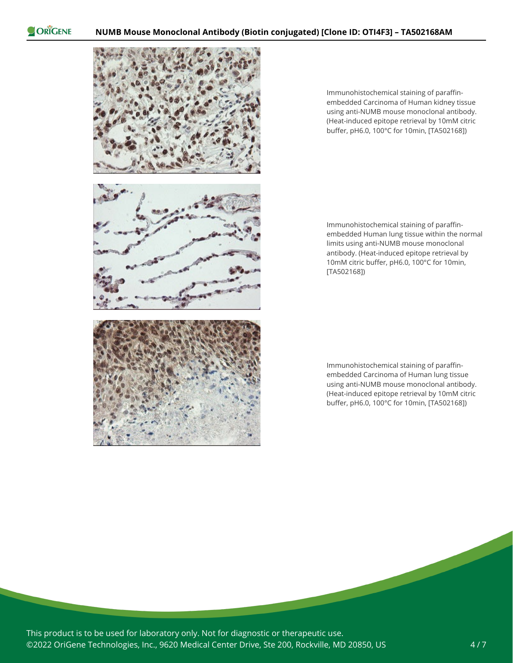

Immunohistochemical staining of paraffinembedded Carcinoma of Human kidney tissue using anti-NUMB mouse monoclonal antibody. (Heat-induced epitope retrieval by 10mM citric buffer, pH6.0, 100°C for 10min, [TA502168])

Immunohistochemical staining of paraffinembedded Human lung tissue within the normal limits using anti-NUMB mouse monoclonal antibody. (Heat-induced epitope retrieval by 10mM citric buffer, pH6.0, 100°C for 10min, [TA502168])

Immunohistochemical staining of paraffinembedded Carcinoma of Human lung tissue using anti-NUMB mouse monoclonal antibody. (Heat-induced epitope retrieval by 10mM citric buffer, pH6.0, 100°C for 10min, [TA502168])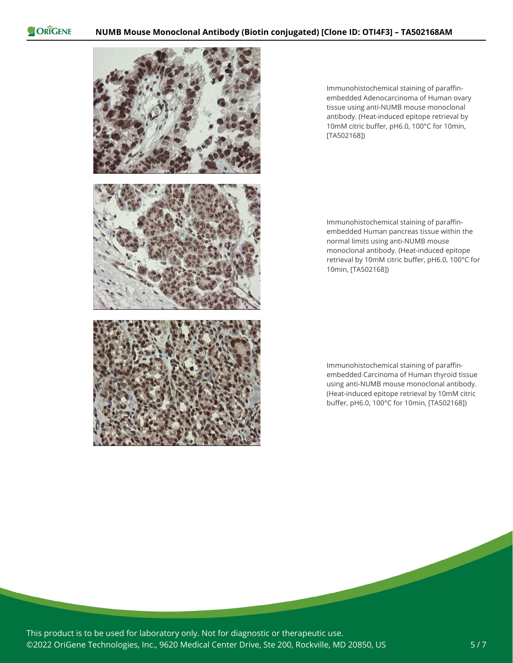

Immunohistochemical staining of paraffinembedded Adenocarcinoma of Human ovary tissue using anti-NUMB mouse monoclonal antibody. (Heat-induced epitope retrieval by 10mM citric buffer, pH6.0, 100°C for 10min, [TA502168])

Immunohistochemical staining of paraffinembedded Human pancreas tissue within the normal limits using anti-NUMB mouse monoclonal antibody. (Heat-induced epitope retrieval by 10mM citric buffer, pH6.0, 100°C for 10min, [TA502168])

Immunohistochemical staining of paraffinembedded Carcinoma of Human thyroid tissue using anti-NUMB mouse monoclonal antibody. (Heat-induced epitope retrieval by 10mM citric buffer, pH6.0, 100°C for 10min, [TA502168])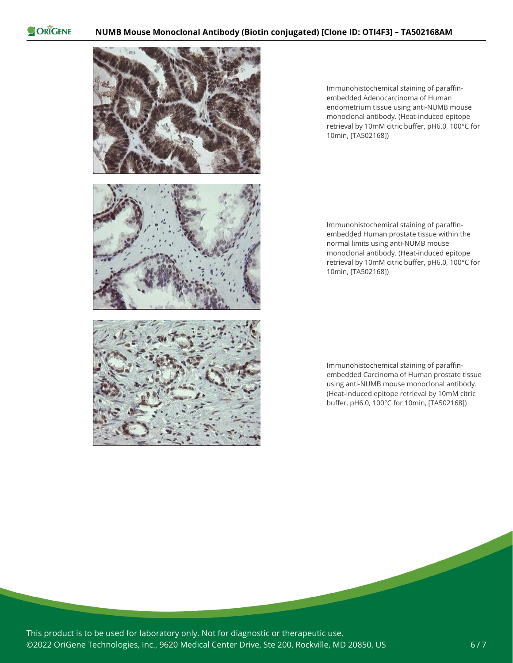

Immunohistochemical staining of paraffinembedded Adenocarcinoma of Human endometrium tissue using anti-NUMB mouse monoclonal antibody. (Heat-induced epitope retrieval by 10mM citric buffer, pH6.0, 100°C for 10min, [TA502168])

Immunohistochemical staining of paraffinembedded Human prostate tissue within the normal limits using anti-NUMB mouse monoclonal antibody. (Heat-induced epitope retrieval by 10mM citric buffer, pH6.0, 100°C for 10min, [TA502168])

Immunohistochemical staining of paraffinembedded Carcinoma of Human prostate tissue using anti-NUMB mouse monoclonal antibody. (Heat-induced epitope retrieval by 10mM citric buffer, pH6.0, 100°C for 10min, [TA502168])